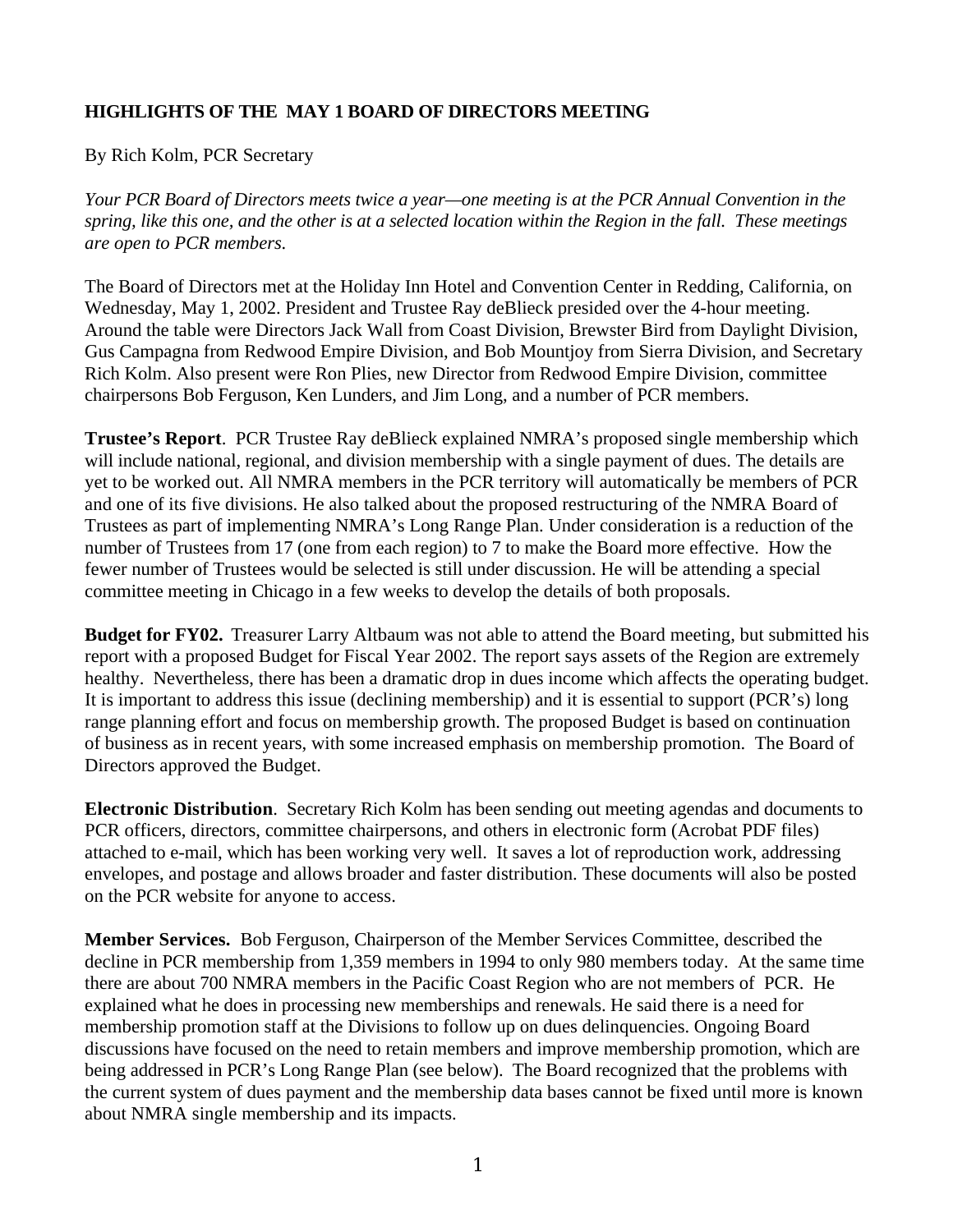## **HIGHLIGHTS OF THE MAY 1 BOARD OF DIRECTORS MEETING**

By Rich Kolm, PCR Secretary

*Your PCR Board of Directors meets twice a year—one meeting is at the PCR Annual Convention in the spring, like this one, and the other is at a selected location within the Region in the fall. These meetings are open to PCR members.*

The Board of Directors met at the Holiday Inn Hotel and Convention Center in Redding, California, on Wednesday, May 1, 2002. President and Trustee Ray deBlieck presided over the 4-hour meeting. Around the table were Directors Jack Wall from Coast Division, Brewster Bird from Daylight Division, Gus Campagna from Redwood Empire Division, and Bob Mountjoy from Sierra Division, and Secretary Rich Kolm. Also present were Ron Plies, new Director from Redwood Empire Division, committee chairpersons Bob Ferguson, Ken Lunders, and Jim Long, and a number of PCR members.

**Trustee's Report**. PCR Trustee Ray deBlieck explained NMRA's proposed single membership which will include national, regional, and division membership with a single payment of dues. The details are yet to be worked out. All NMRA members in the PCR territory will automatically be members of PCR and one of its five divisions. He also talked about the proposed restructuring of the NMRA Board of Trustees as part of implementing NMRA's Long Range Plan. Under consideration is a reduction of the number of Trustees from 17 (one from each region) to 7 to make the Board more effective. How the fewer number of Trustees would be selected is still under discussion. He will be attending a special committee meeting in Chicago in a few weeks to develop the details of both proposals.

**Budget for FY02.** Treasurer Larry Altbaum was not able to attend the Board meeting, but submitted his report with a proposed Budget for Fiscal Year 2002. The report says assets of the Region are extremely healthy. Nevertheless, there has been a dramatic drop in dues income which affects the operating budget. It is important to address this issue (declining membership) and it is essential to support (PCR's) long range planning effort and focus on membership growth. The proposed Budget is based on continuation of business as in recent years, with some increased emphasis on membership promotion. The Board of Directors approved the Budget.

**Electronic Distribution**. Secretary Rich Kolm has been sending out meeting agendas and documents to PCR officers, directors, committee chairpersons, and others in electronic form (Acrobat PDF files) attached to e-mail, which has been working very well. It saves a lot of reproduction work, addressing envelopes, and postage and allows broader and faster distribution. These documents will also be posted on the PCR website for anyone to access.

**Member Services.** Bob Ferguson, Chairperson of the Member Services Committee, described the decline in PCR membership from 1,359 members in 1994 to only 980 members today. At the same time there are about 700 NMRA members in the Pacific Coast Region who are not members of PCR. He explained what he does in processing new memberships and renewals. He said there is a need for membership promotion staff at the Divisions to follow up on dues delinquencies. Ongoing Board discussions have focused on the need to retain members and improve membership promotion, which are being addressed in PCR's Long Range Plan (see below). The Board recognized that the problems with the current system of dues payment and the membership data bases cannot be fixed until more is known about NMRA single membership and its impacts.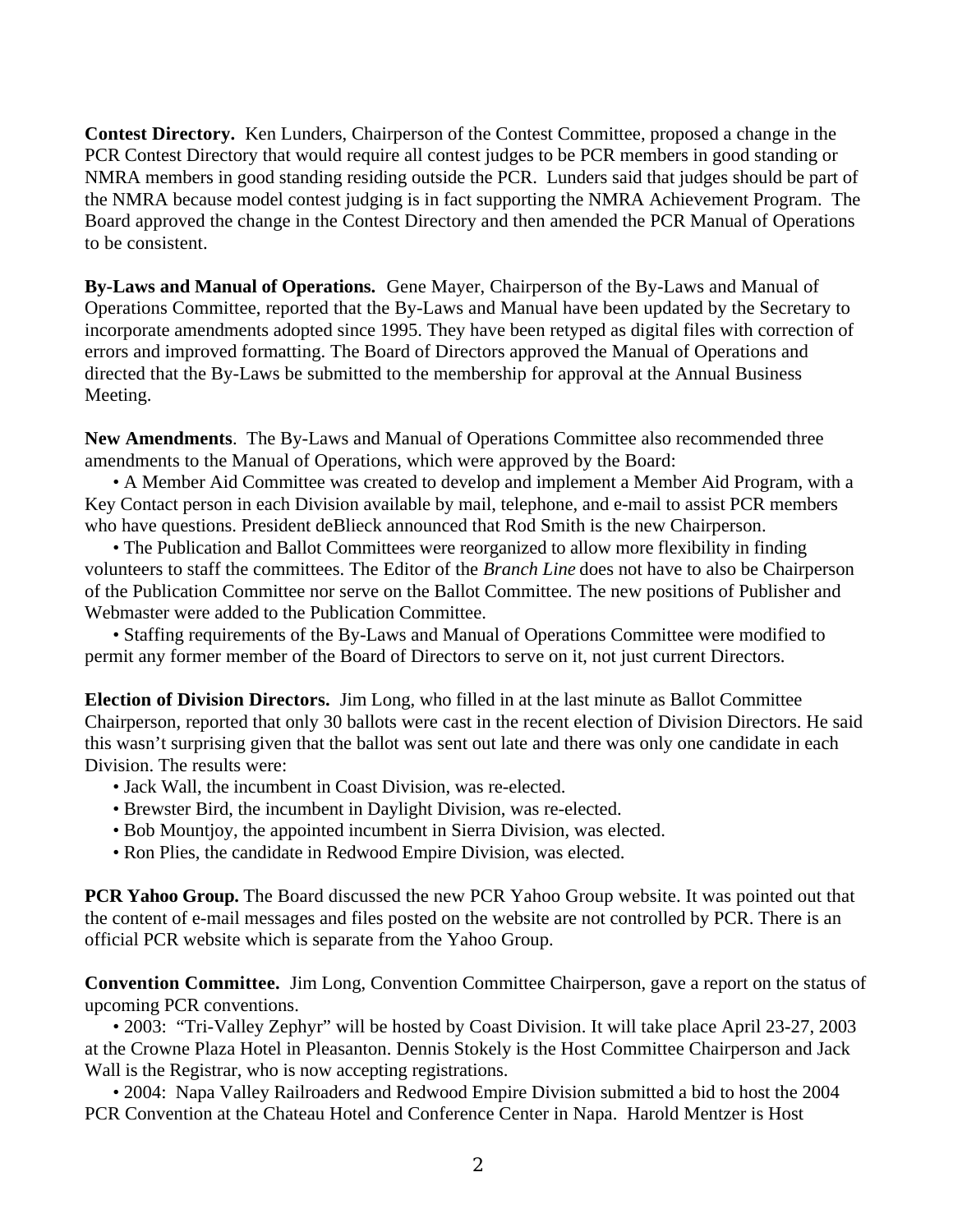**Contest Directory.** Ken Lunders, Chairperson of the Contest Committee, proposed a change in the PCR Contest Directory that would require all contest judges to be PCR members in good standing or NMRA members in good standing residing outside the PCR. Lunders said that judges should be part of the NMRA because model contest judging is in fact supporting the NMRA Achievement Program. The Board approved the change in the Contest Directory and then amended the PCR Manual of Operations to be consistent.

**By-Laws and Manual of Operations.** Gene Mayer, Chairperson of the By-Laws and Manual of Operations Committee, reported that the By-Laws and Manual have been updated by the Secretary to incorporate amendments adopted since 1995. They have been retyped as digital files with correction of errors and improved formatting. The Board of Directors approved the Manual of Operations and directed that the By-Laws be submitted to the membership for approval at the Annual Business Meeting.

**New Amendments**. The By-Laws and Manual of Operations Committee also recommended three amendments to the Manual of Operations, which were approved by the Board:

• A Member Aid Committee was created to develop and implement a Member Aid Program, with a Key Contact person in each Division available by mail, telephone, and e-mail to assist PCR members who have questions. President deBlieck announced that Rod Smith is the new Chairperson.

• The Publication and Ballot Committees were reorganized to allow more flexibility in finding volunteers to staff the committees. The Editor of the *Branch Line* does not have to also be Chairperson of the Publication Committee nor serve on the Ballot Committee. The new positions of Publisher and Webmaster were added to the Publication Committee.

• Staffing requirements of the By-Laws and Manual of Operations Committee were modified to permit any former member of the Board of Directors to serve on it, not just current Directors.

**Election of Division Directors.** Jim Long, who filled in at the last minute as Ballot Committee Chairperson, reported that only 30 ballots were cast in the recent election of Division Directors. He said this wasn't surprising given that the ballot was sent out late and there was only one candidate in each Division. The results were:

- Jack Wall, the incumbent in Coast Division, was re-elected.
- Brewster Bird, the incumbent in Daylight Division, was re-elected.
- Bob Mountjoy, the appointed incumbent in Sierra Division, was elected.
- Ron Plies, the candidate in Redwood Empire Division, was elected.

**PCR Yahoo Group.** The Board discussed the new PCR Yahoo Group website. It was pointed out that the content of e-mail messages and files posted on the website are not controlled by PCR. There is an official PCR website which is separate from the Yahoo Group.

**Convention Committee.** Jim Long, Convention Committee Chairperson, gave a report on the status of upcoming PCR conventions.

• 2003: "Tri-Valley Zephyr" will be hosted by Coast Division. It will take place April 23-27, 2003 at the Crowne Plaza Hotel in Pleasanton. Dennis Stokely is the Host Committee Chairperson and Jack Wall is the Registrar, who is now accepting registrations.

• 2004: Napa Valley Railroaders and Redwood Empire Division submitted a bid to host the 2004 PCR Convention at the Chateau Hotel and Conference Center in Napa. Harold Mentzer is Host